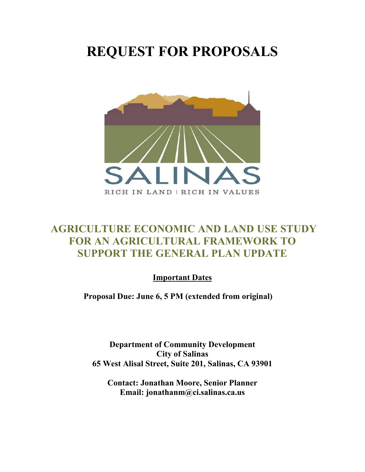## **REQUEST FOR PROPOSALS**



## **AGRICULTURE ECONOMIC AND LAND USE STUDY FOR AN AGRICULTURAL FRAMEWORK TO SUPPORT THE GENERAL PLAN UPDATE**

**Important Dates**

**Proposal Due: June 6, 5 PM (extended from original)**

**Department of Community Development City of Salinas 65 West Alisal Street, Suite 201, Salinas, CA 93901**

**Contact: Jonathan Moore, Senior Planner Email: jonathanm@ci.salinas.ca.us**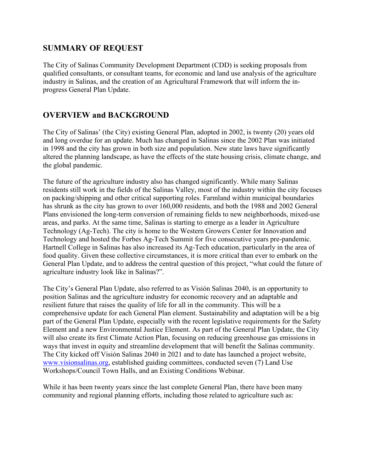#### **SUMMARY OF REQUEST**

The City of Salinas Community Development Department (CDD) is seeking proposals from qualified consultants, or consultant teams, for economic and land use analysis of the agriculture industry in Salinas, and the creation of an Agricultural Framework that will inform the inprogress General Plan Update.

### **OVERVIEW and BACKGROUND**

The City of Salinas' (the City) existing General Plan, adopted in 2002, is twenty (20) years old and long overdue for an update. Much has changed in Salinas since the 2002 Plan was initiated in 1998 and the city has grown in both size and population. New state laws have significantly altered the planning landscape, as have the effects of the state housing crisis, climate change, and the global pandemic.

The future of the agriculture industry also has changed significantly. While many Salinas residents still work in the fields of the Salinas Valley, most of the industry within the city focuses on packing/shipping and other critical supporting roles. Farmland within municipal boundaries has shrunk as the city has grown to over 160,000 residents, and both the 1988 and 2002 General Plans envisioned the long-term conversion of remaining fields to new neighborhoods, mixed-use areas, and parks. At the same time, Salinas is starting to emerge as a leader in Agriculture Technology (Ag-Tech). The city is home to the Western Growers Center for Innovation and Technology and hosted the Forbes Ag-Tech Summit for five consecutive years pre-pandemic. Hartnell College in Salinas has also increased its Ag-Tech education, particularly in the area of food quality. Given these collective circumstances, it is more critical than ever to embark on the General Plan Update, and to address the central question of this project, "what could the future of agriculture industry look like in Salinas?".

The City's General Plan Update, also referred to as Visión Salinas 2040, is an opportunity to position Salinas and the agriculture industry for economic recovery and an adaptable and resilient future that raises the quality of life for all in the community. This will be a comprehensive update for each General Plan element. Sustainability and adaptation will be a big part of the General Plan Update, especially with the recent legislative requirements for the Safety Element and a new Environmental Justice Element. As part of the General Plan Update, the City will also create its first Climate Action Plan, focusing on reducing greenhouse gas emissions in ways that invest in equity and streamline development that will benefit the Salinas community. The City kicked off Visión Salinas 2040 in 2021 and to date has launched a project website, [www.visionsalinas.org,](http://www.visionsalinas.org/) established guiding committees, conducted seven (7) Land Use Workshops/Council Town Halls, and an Existing Conditions Webinar.

While it has been twenty years since the last complete General Plan, there have been many community and regional planning efforts, including those related to agriculture such as: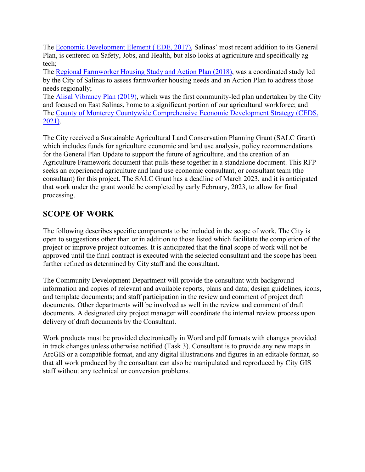The [Economic Development Element \(](https://www.cityofsalinas.org/sites/default/files/departments_files/community_development_files/exhibit_a_ede_errata_vol_i_vol_ii.pdf) EDE, 2017), Salinas' most recent addition to its General Plan, is centered on Safety, Jobs, and Health, but also looks at agriculture and specifically agtech;

The [Regional Farmworker Housing Study and Action Plan](https://www.cityofsalinas.org/sites/default/files/departments_files/community_development_files/farmworker_housing_study.saslinas-pajaro.june_15-2018.complete.pdf) (2018), was a coordinated study led by the City of Salinas to assess farmworker housing needs and an Action Plan to address those needs regionally;

The [Alisal Vibrancy Plan](https://www.cityofsalinas.org/sites/default/files/departments_files/community_development_files/alisal_vibrancy_plan_final_feb_2020_web_file_size.pdf) (2019), which was the first community-led plan undertaken by the City and focused on East Salinas, home to a significant portion of our agricultural workforce; and The [County of Monterey Countywide Comprehensive Economic Development Strategy \(CEDS,](https://www.co.monterey.ca.us/home/showpublisheddocument/103898/637622849934670000)  [2021\).](https://www.co.monterey.ca.us/home/showpublisheddocument/103898/637622849934670000)

The City received a Sustainable Agricultural Land Conservation Planning Grant (SALC Grant) which includes funds for agriculture economic and land use analysis, policy recommendations for the General Plan Update to support the future of agriculture, and the creation of an Agriculture Framework document that pulls these together in a standalone document. This RFP seeks an experienced agriculture and land use economic consultant, or consultant team (the consultant) for this project. The SALC Grant has a deadline of March 2023, and it is anticipated that work under the grant would be completed by early February, 2023, to allow for final processing.

## **SCOPE OF WORK**

The following describes specific components to be included in the scope of work. The City is open to suggestions other than or in addition to those listed which facilitate the completion of the project or improve project outcomes. It is anticipated that the final scope of work will not be approved until the final contract is executed with the selected consultant and the scope has been further refined as determined by City staff and the consultant.

The Community Development Department will provide the consultant with background information and copies of relevant and available reports, plans and data; design guidelines, icons, and template documents; and staff participation in the review and comment of project draft documents. Other departments will be involved as well in the review and comment of draft documents. A designated city project manager will coordinate the internal review process upon delivery of draft documents by the Consultant.

Work products must be provided electronically in Word and pdf formats with changes provided in track changes unless otherwise notified (Task 3). Consultant is to provide any new maps in ArcGIS or a compatible format, and any digital illustrations and figures in an editable format, so that all work produced by the consultant can also be manipulated and reproduced by City GIS staff without any technical or conversion problems.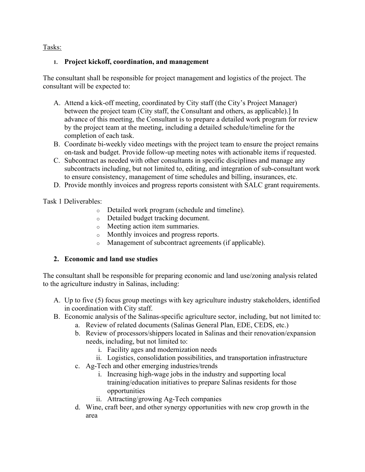Tasks:

#### **1. Project kickoff, coordination, and management**

The consultant shall be responsible for project management and logistics of the project. The consultant will be expected to:

- A. Attend a kick-off meeting, coordinated by City staff (the City's Project Manager) between the project team (City staff, the Consultant and others, as applicable).] In advance of this meeting, the Consultant is to prepare a detailed work program for review by the project team at the meeting, including a detailed schedule/timeline for the completion of each task.
- B. Coordinate bi-weekly video meetings with the project team to ensure the project remains on-task and budget. Provide follow-up meeting notes with actionable items if requested.
- C. Subcontract as needed with other consultants in specific disciplines and manage any subcontracts including, but not limited to, editing, and integration of sub-consultant work to ensure consistency, management of time schedules and billing, insurances, etc.
- D. Provide monthly invoices and progress reports consistent with SALC grant requirements.

Task 1 Deliverables:

- <sup>o</sup> Detailed work program (schedule and timeline).
- <sup>o</sup> Detailed budget tracking document.
- <sup>o</sup> Meeting action item summaries.
- <sup>o</sup> Monthly invoices and progress reports.
- <sup>o</sup> Management of subcontract agreements (if applicable).

#### **2. Economic and land use studies**

The consultant shall be responsible for preparing economic and land use/zoning analysis related to the agriculture industry in Salinas, including:

- A. Up to five (5) focus group meetings with key agriculture industry stakeholders, identified in coordination with City staff.
- B. Economic analysis of the Salinas-specific agriculture sector, including, but not limited to:
	- a. Review of related documents (Salinas General Plan, EDE, CEDS, etc.)
	- b. Review of processors/shippers located in Salinas and their renovation/expansion needs, including, but not limited to:
		- i. Facility ages and modernization needs
		- ii. Logistics, consolidation possibilities, and transportation infrastructure
	- c. Ag-Tech and other emerging industries/trends
		- i. Increasing high-wage jobs in the industry and supporting local training/education initiatives to prepare Salinas residents for those opportunities
		- ii. Attracting/growing Ag-Tech companies
	- d. Wine, craft beer, and other synergy opportunities with new crop growth in the area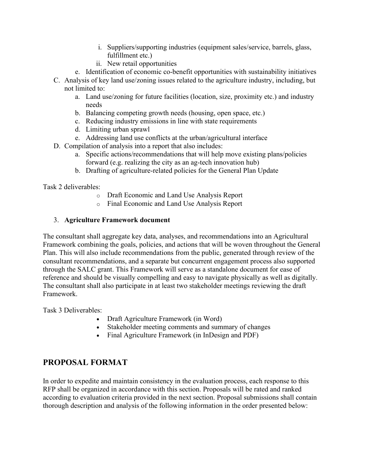- i. Suppliers/supporting industries (equipment sales/service, barrels, glass, fulfillment etc.)
- ii. New retail opportunities
- e. Identification of economic co-benefit opportunities with sustainability initiatives
- C. Analysis of key land use/zoning issues related to the agriculture industry, including, but not limited to:
	- a. Land use/zoning for future facilities (location, size, proximity etc.) and industry needs
	- b. Balancing competing growth needs (housing, open space, etc.)
	- c. Reducing industry emissions in line with state requirements
	- d. Limiting urban sprawl
	- e. Addressing land use conflicts at the urban/agricultural interface
- D. Compilation of analysis into a report that also includes:
	- a. Specific actions/recommendations that will help move existing plans/policies forward (e.g. realizing the city as an ag-tech innovation hub)
	- b. Drafting of agriculture-related policies for the General Plan Update

Task 2 deliverables:

- o Draft Economic and Land Use Analysis Report
- o Final Economic and Land Use Analysis Report

#### 3. **Agriculture Framework document**

The consultant shall aggregate key data, analyses, and recommendations into an Agricultural Framework combining the goals, policies, and actions that will be woven throughout the General Plan. This will also include recommendations from the public, generated through review of the consultant recommendations, and a separate but concurrent engagement process also supported through the SALC grant. This Framework will serve as a standalone document for ease of reference and should be visually compelling and easy to navigate physically as well as digitally. The consultant shall also participate in at least two stakeholder meetings reviewing the draft Framework.

Task 3 Deliverables:

- Draft Agriculture Framework (in Word)
- Stakeholder meeting comments and summary of changes
- Final Agriculture Framework (in InDesign and PDF)

#### **PROPOSAL FORMAT**

In order to expedite and maintain consistency in the evaluation process, each response to this RFP shall be organized in accordance with this section. Proposals will be rated and ranked according to evaluation criteria provided in the next section. Proposal submissions shall contain thorough description and analysis of the following information in the order presented below: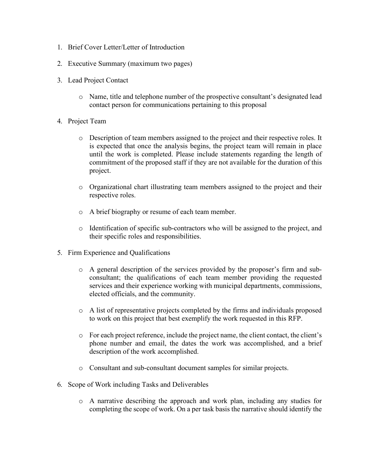- 1. Brief Cover Letter/Letter of Introduction
- 2. Executive Summary (maximum two pages)
- 3. Lead Project Contact
	- o Name, title and telephone number of the prospective consultant's designated lead contact person for communications pertaining to this proposal
- 4. Project Team
	- o Description of team members assigned to the project and their respective roles. It is expected that once the analysis begins, the project team will remain in place until the work is completed. Please include statements regarding the length of commitment of the proposed staff if they are not available for the duration of this project.
	- o Organizational chart illustrating team members assigned to the project and their respective roles.
	- o A brief biography or resume of each team member.
	- $\circ$  Identification of specific sub-contractors who will be assigned to the project, and their specific roles and responsibilities.
- 5. Firm Experience and Qualifications
	- o A general description of the services provided by the proposer's firm and subconsultant; the qualifications of each team member providing the requested services and their experience working with municipal departments, commissions, elected officials, and the community.
	- o A list of representative projects completed by the firms and individuals proposed to work on this project that best exemplify the work requested in this RFP.
	- o For each project reference, include the project name, the client contact, the client's phone number and email, the dates the work was accomplished, and a brief description of the work accomplished.
	- o Consultant and sub-consultant document samples for similar projects.
- 6. Scope of Work including Tasks and Deliverables
	- o A narrative describing the approach and work plan, including any studies for completing the scope of work. On a per task basis the narrative should identify the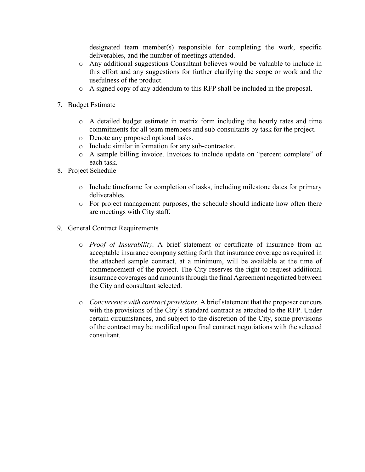designated team member(s) responsible for completing the work, specific deliverables, and the number of meetings attended.

- o Any additional suggestions Consultant believes would be valuable to include in this effort and any suggestions for further clarifying the scope or work and the usefulness of the product.
- o A signed copy of any addendum to this RFP shall be included in the proposal.
- 7. Budget Estimate
	- o A detailed budget estimate in matrix form including the hourly rates and time commitments for all team members and sub-consultants by task for the project.
	- o Denote any proposed optional tasks.
	- o Include similar information for any sub-contractor.
	- o A sample billing invoice. Invoices to include update on "percent complete" of each task.
- 8. Project Schedule
	- o Include timeframe for completion of tasks, including milestone dates for primary deliverables.
	- o For project management purposes, the schedule should indicate how often there are meetings with City staff.
- 9. General Contract Requirements
	- o *Proof of Insurability*. A brief statement or certificate of insurance from an acceptable insurance company setting forth that insurance coverage as required in the attached sample contract, at a minimum, will be available at the time of commencement of the project. The City reserves the right to request additional insurance coverages and amounts through the final Agreement negotiated between the City and consultant selected.
	- o *Concurrence with contract provisions.* A brief statement that the proposer concurs with the provisions of the City's standard contract as attached to the RFP. Under certain circumstances, and subject to the discretion of the City, some provisions of the contract may be modified upon final contract negotiations with the selected consultant.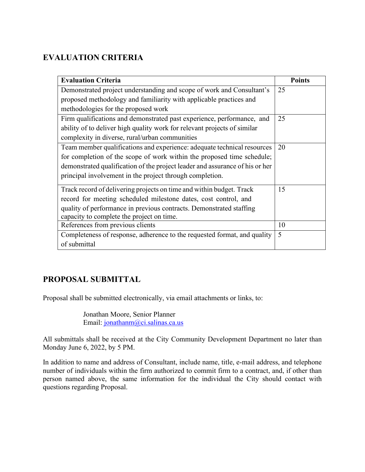## **EVALUATION CRITERIA**

| <b>Evaluation Criteria</b>                                                   | Points |
|------------------------------------------------------------------------------|--------|
| Demonstrated project understanding and scope of work and Consultant's        | 25     |
| proposed methodology and familiarity with applicable practices and           |        |
| methodologies for the proposed work                                          |        |
| Firm qualifications and demonstrated past experience, performance, and       | 25     |
| ability of to deliver high quality work for relevant projects of similar     |        |
| complexity in diverse, rural/urban communities                               |        |
| Team member qualifications and experience: adequate technical resources      | 20     |
| for completion of the scope of work within the proposed time schedule;       |        |
| demonstrated qualification of the project leader and assurance of his or her |        |
| principal involvement in the project through completion.                     |        |
| Track record of delivering projects on time and within budget. Track         | 15     |
| record for meeting scheduled milestone dates, cost control, and              |        |
| quality of performance in previous contracts. Demonstrated staffing          |        |
| capacity to complete the project on time.                                    |        |
| References from previous clients                                             | 10     |
| Completeness of response, adherence to the requested format, and quality     | 5      |
| of submittal                                                                 |        |

## **PROPOSAL SUBMITTAL**

Proposal shall be submitted electronically, via email attachments or links, to:

Jonathan Moore, Senior Planner Email: [jonathanm@ci.salinas.ca.us](mailto:jonathanm@ci.salinas.ca.us)

All submittals shall be received at the City Community Development Department no later than Monday June 6, 2022, by 5 PM.

In addition to name and address of Consultant, include name, title, e-mail address, and telephone number of individuals within the firm authorized to commit firm to a contract, and, if other than person named above, the same information for the individual the City should contact with questions regarding Proposal.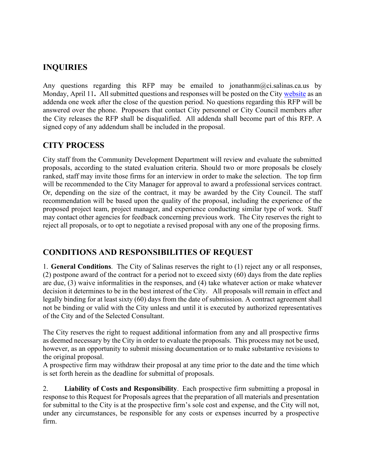## **INQUIRIES**

Any questions regarding this RFP may be emailed to jonathanm  $(a)$ ci.salinas.ca.us by Monday, April 11**.** All submitted questions and responses will be posted on the City [website](https://www.cityofsalinas.org/our-city-services/finance/bid-requests-rfps) as an addenda one week after the close of the question period. No questions regarding this RFP will be answered over the phone. Proposers that contact City personnel or City Council members after the City releases the RFP shall be disqualified. All addenda shall become part of this RFP. A signed copy of any addendum shall be included in the proposal.

## **CITY PROCESS**

City staff from the Community Development Department will review and evaluate the submitted proposals, according to the stated evaluation criteria. Should two or more proposals be closely ranked, staff may invite those firms for an interview in order to make the selection. The top firm will be recommended to the City Manager for approval to award a professional services contract. Or, depending on the size of the contract, it may be awarded by the City Council. The staff recommendation will be based upon the quality of the proposal, including the experience of the proposed project team, project manager, and experience conducting similar type of work. Staff may contact other agencies for feedback concerning previous work. The City reserves the right to reject all proposals, or to opt to negotiate a revised proposal with any one of the proposing firms.

## **CONDITIONS AND RESPONSIBILITIES OF REQUEST**

1. **General Conditions**. The City of Salinas reserves the right to (1) reject any or all responses, (2) postpone award of the contract for a period not to exceed sixty (60) days from the date replies are due, (3) waive informalities in the responses, and (4) take whatever action or make whatever decision it determines to be in the best interest of the City. All proposals will remain in effect and legally binding for at least sixty (60) days from the date of submission. A contract agreement shall not be binding or valid with the City unless and until it is executed by authorized representatives of the City and of the Selected Consultant.

The City reserves the right to request additional information from any and all prospective firms as deemed necessary by the City in order to evaluate the proposals.  This process may not be used, however, as an opportunity to submit missing documentation or to make substantive revisions to the original proposal.

A prospective firm may withdraw their proposal at any time prior to the date and the time which is set forth herein as the deadline for submittal of proposals.

2. **Liability of Costs and Responsibility**. Each prospective firm submitting a proposal in response to this Request for Proposals agrees that the preparation of all materials and presentation for submittal to the City is at the prospective firm's sole cost and expense, and the City will not, under any circumstances, be responsible for any costs or expenses incurred by a prospective firm.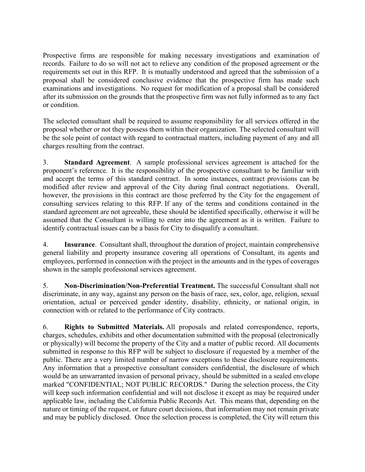Prospective firms are responsible for making necessary investigations and examination of records.  Failure to do so will not act to relieve any condition of the proposed agreement or the requirements set out in this RFP.  It is mutually understood and agreed that the submission of a proposal shall be considered conclusive evidence that the prospective firm has made such examinations and investigations.  No request for modification of a proposal shall be considered after its submission on the grounds that the prospective firm was not fully informed as to any fact or condition.

The selected consultant shall be required to assume responsibility for all services offered in the proposal whether or not they possess them within their organization. The selected consultant will be the sole point of contact with regard to contractual matters, including payment of any and all charges resulting from the contract.

3. **Standard Agreement**. A sample professional services agreement is attached for the proponent's reference. It is the responsibility of the prospective consultant to be familiar with and accept the terms of this standard contract. In some instances, contract provisions can be modified after review and approval of the City during final contract negotiations. Overall, however, the provisions in this contract are those preferred by the City for the engagement of consulting services relating to this RFP. If any of the terms and conditions contained in the standard agreement are not agreeable, these should be identified specifically, otherwise it will be assumed that the Consultant is willing to enter into the agreement as it is written. Failure to identify contractual issues can be a basis for City to disqualify a consultant.

4. **Insurance**. Consultant shall, throughout the duration of project, maintain comprehensive general liability and property insurance covering all operations of Consultant, its agents and employees, performed in connection with the project in the amounts and in the types of coverages shown in the sample professional services agreement.

5. **Non-Discrimination/Non-Preferential Treatment.** The successful Consultant shall not discriminate, in any way, against any person on the basis of race, sex, color, age, religion, sexual orientation, actual or perceived gender identity, disability, ethnicity, or national origin, in connection with or related to the performance of City contracts.

6. **Rights to Submitted Materials.** All proposals and related correspondence, reports, charges, schedules, exhibits and other documentation submitted with the proposal (electronically or physically) will become the property of the City and a matter of public record. All documents submitted in response to this RFP will be subject to disclosure if requested by a member of the public. There are a very limited number of narrow exceptions to these disclosure requirements. Any information that a prospective consultant considers confidential, the disclosure of which would be an unwarranted invasion of personal privacy, should be submitted in a sealed envelope marked "CONFIDENTIAL; NOT PUBLIC RECORDS." During the selection process, the City will keep such information confidential and will not disclose it except as may be required under applicable law, including the California Public Records Act. This means that, depending on the nature or timing of the request, or future court decisions, that information may not remain private and may be publicly disclosed. Once the selection process is completed, the City will return this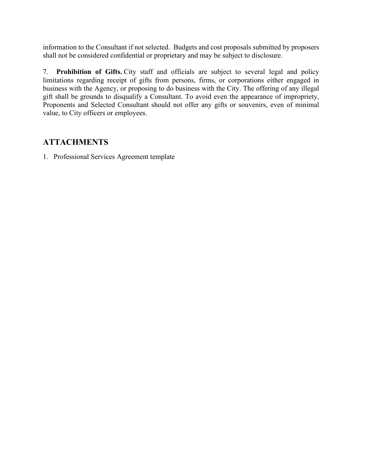information to the Consultant if not selected. Budgets and cost proposals submitted by proposers shall not be considered confidential or proprietary and may be subject to disclosure.

7. **Prohibition of Gifts.** City staff and officials are subject to several legal and policy limitations regarding receipt of gifts from persons, firms, or corporations either engaged in business with the Agency, or proposing to do business with the City. The offering of any illegal gift shall be grounds to disqualify a Consultant. To avoid even the appearance of impropriety, Proponents and Selected Consultant should not offer any gifts or souvenirs, even of minimal value, to City officers or employees.

## **ATTACHMENTS**

1. Professional Services Agreement template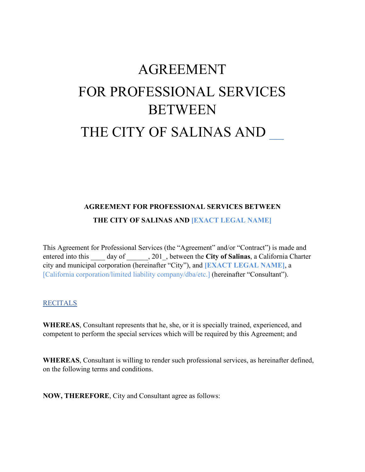# AGREEMENT FOR PROFESSIONAL SERVICES **BETWEEN** THE CITY OF SALINAS AND

## **AGREEMENT FOR PROFESSIONAL SERVICES BETWEEN THE CITY OF SALINAS AND [EXACT LEGAL NAME]**

This Agreement for Professional Services (the "Agreement" and/or "Contract") is made and entered into this \_\_\_\_ day of \_\_\_\_\_\_, 201\_, between the **City of Salinas**, a California Charter city and municipal corporation (hereinafter "City"), and **[EXACT LEGAL NAME]**, a [California corporation/limited liability company/dba/etc.] (hereinafter "Consultant").

#### RECITALS

**WHEREAS**, Consultant represents that he, she, or it is specially trained, experienced, and competent to perform the special services which will be required by this Agreement; and

**WHEREAS**, Consultant is willing to render such professional services, as hereinafter defined, on the following terms and conditions.

**NOW, THEREFORE**, City and Consultant agree as follows: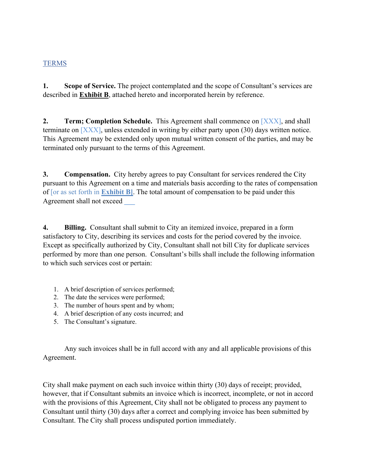#### TERMS

**1. Scope of Service.** The project contemplated and the scope of Consultant's services are described in **Exhibit B**, attached hereto and incorporated herein by reference.

**2. Term; Completion Schedule.** This Agreement shall commence on [XXX], and shall terminate on  $[**XXX**]$ , unless extended in writing by either party upon (30) days written notice. This Agreement may be extended only upon mutual written consent of the parties, and may be terminated only pursuant to the terms of this Agreement.

**3. Compensation.** City hereby agrees to pay Consultant for services rendered the City pursuant to this Agreement on a time and materials basis according to the rates of compensation of [or as set forth in **Exhibit B]**. The total amount of compensation to be paid under this Agreement shall not exceed **\_\_\_**

**4. Billing.** Consultant shall submit to City an itemized invoice, prepared in a form satisfactory to City, describing its services and costs for the period covered by the invoice. Except as specifically authorized by City, Consultant shall not bill City for duplicate services performed by more than one person. Consultant's bills shall include the following information to which such services cost or pertain:

- 1. A brief description of services performed;
- 2. The date the services were performed;
- 3. The number of hours spent and by whom;
- 4. A brief description of any costs incurred; and
- 5. The Consultant's signature.

Any such invoices shall be in full accord with any and all applicable provisions of this Agreement.

City shall make payment on each such invoice within thirty (30) days of receipt; provided, however, that if Consultant submits an invoice which is incorrect, incomplete, or not in accord with the provisions of this Agreement, City shall not be obligated to process any payment to Consultant until thirty (30) days after a correct and complying invoice has been submitted by Consultant. The City shall process undisputed portion immediately.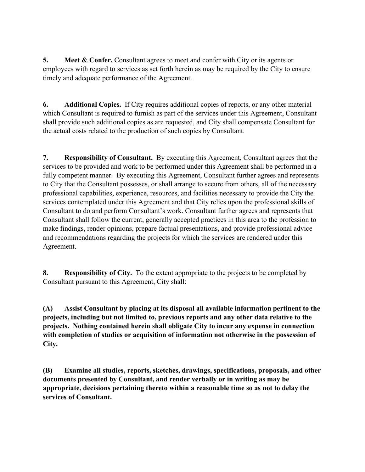**5. Meet & Confer.** Consultant agrees to meet and confer with City or its agents or employees with regard to services as set forth herein as may be required by the City to ensure timely and adequate performance of the Agreement.

**6. Additional Copies.** If City requires additional copies of reports, or any other material which Consultant is required to furnish as part of the services under this Agreement, Consultant shall provide such additional copies as are requested, and City shall compensate Consultant for the actual costs related to the production of such copies by Consultant.

**7. Responsibility of Consultant.** By executing this Agreement, Consultant agrees that the services to be provided and work to be performed under this Agreement shall be performed in a fully competent manner. By executing this Agreement, Consultant further agrees and represents to City that the Consultant possesses, or shall arrange to secure from others, all of the necessary professional capabilities, experience, resources, and facilities necessary to provide the City the services contemplated under this Agreement and that City relies upon the professional skills of Consultant to do and perform Consultant's work. Consultant further agrees and represents that Consultant shall follow the current, generally accepted practices in this area to the profession to make findings, render opinions, prepare factual presentations, and provide professional advice and recommendations regarding the projects for which the services are rendered under this Agreement.

**8. Responsibility of City.** To the extent appropriate to the projects to be completed by Consultant pursuant to this Agreement, City shall:

**(A) Assist Consultant by placing at its disposal all available information pertinent to the projects, including but not limited to, previous reports and any other data relative to the projects. Nothing contained herein shall obligate City to incur any expense in connection with completion of studies or acquisition of information not otherwise in the possession of City.**

**(B) Examine all studies, reports, sketches, drawings, specifications, proposals, and other documents presented by Consultant, and render verbally or in writing as may be appropriate, decisions pertaining thereto within a reasonable time so as not to delay the services of Consultant.**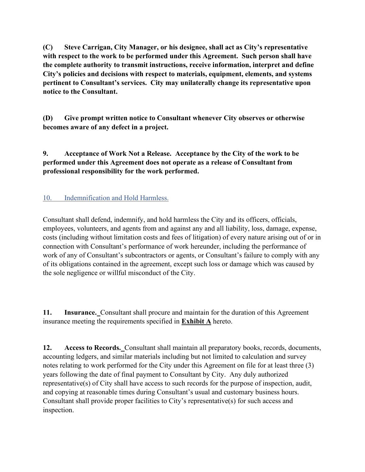**(C) Steve Carrigan, City Manager, or his designee, shall act as City's representative with respect to the work to be performed under this Agreement. Such person shall have the complete authority to transmit instructions, receive information, interpret and define City's policies and decisions with respect to materials, equipment, elements, and systems pertinent to Consultant's services. City may unilaterally change its representative upon notice to the Consultant.**

**(D) Give prompt written notice to Consultant whenever City observes or otherwise becomes aware of any defect in a project.**

**9. Acceptance of Work Not a Release. Acceptance by the City of the work to be performed under this Agreement does not operate as a release of Consultant from professional responsibility for the work performed.**

10. Indemnification and Hold Harmless.

Consultant shall defend, indemnify, and hold harmless the City and its officers, officials, employees, volunteers, and agents from and against any and all liability, loss, damage, expense, costs (including without limitation costs and fees of litigation) of every nature arising out of or in connection with Consultant's performance of work hereunder, including the performance of work of any of Consultant's subcontractors or agents, or Consultant's failure to comply with any of its obligations contained in the agreement, except such loss or damage which was caused by the sole negligence or willful misconduct of the City.

**11. Insurance.** Consultant shall procure and maintain for the duration of this Agreement insurance meeting the requirements specified in **Exhibit A** hereto.

**12. Access to Records.** Consultant shall maintain all preparatory books, records, documents, accounting ledgers, and similar materials including but not limited to calculation and survey notes relating to work performed for the City under this Agreement on file for at least three (3) years following the date of final payment to Consultant by City. Any duly authorized representative(s) of City shall have access to such records for the purpose of inspection, audit, and copying at reasonable times during Consultant's usual and customary business hours. Consultant shall provide proper facilities to City's representative(s) for such access and inspection.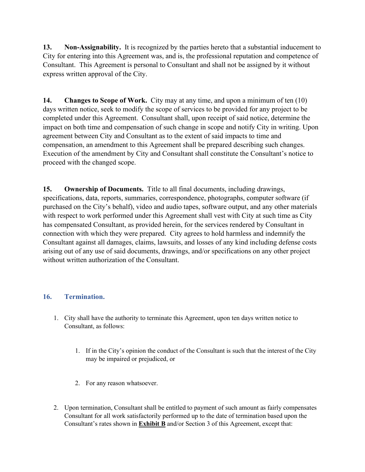**13. Non-Assignability.** It is recognized by the parties hereto that a substantial inducement to City for entering into this Agreement was, and is, the professional reputation and competence of Consultant. This Agreement is personal to Consultant and shall not be assigned by it without express written approval of the City.

**14. Changes to Scope of Work.** City may at any time, and upon a minimum of ten (10) days written notice, seek to modify the scope of services to be provided for any project to be completed under this Agreement. Consultant shall, upon receipt of said notice, determine the impact on both time and compensation of such change in scope and notify City in writing. Upon agreement between City and Consultant as to the extent of said impacts to time and compensation, an amendment to this Agreement shall be prepared describing such changes. Execution of the amendment by City and Consultant shall constitute the Consultant's notice to proceed with the changed scope.

**15. Ownership of Documents.** Title to all final documents, including drawings, specifications, data, reports, summaries, correspondence, photographs, computer software (if purchased on the City's behalf), video and audio tapes, software output, and any other materials with respect to work performed under this Agreement shall vest with City at such time as City has compensated Consultant, as provided herein, for the services rendered by Consultant in connection with which they were prepared. City agrees to hold harmless and indemnify the Consultant against all damages, claims, lawsuits, and losses of any kind including defense costs arising out of any use of said documents, drawings, and/or specifications on any other project without written authorization of the Consultant.

#### **16. Termination.**

- 1. City shall have the authority to terminate this Agreement, upon ten days written notice to Consultant, as follows:
	- 1. If in the City's opinion the conduct of the Consultant is such that the interest of the City may be impaired or prejudiced, or
	- 2. For any reason whatsoever.
- 2. Upon termination, Consultant shall be entitled to payment of such amount as fairly compensates Consultant for all work satisfactorily performed up to the date of termination based upon the Consultant's rates shown in **Exhibit B** and/or Section 3 of this Agreement, except that: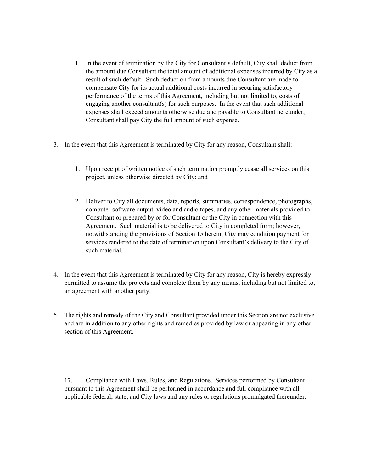- 1. In the event of termination by the City for Consultant's default, City shall deduct from the amount due Consultant the total amount of additional expenses incurred by City as a result of such default. Such deduction from amounts due Consultant are made to compensate City for its actual additional costs incurred in securing satisfactory performance of the terms of this Agreement, including but not limited to, costs of engaging another consultant(s) for such purposes. In the event that such additional expenses shall exceed amounts otherwise due and payable to Consultant hereunder, Consultant shall pay City the full amount of such expense.
- 3. In the event that this Agreement is terminated by City for any reason, Consultant shall:
	- 1. Upon receipt of written notice of such termination promptly cease all services on this project, unless otherwise directed by City; and
	- 2. Deliver to City all documents, data, reports, summaries, correspondence, photographs, computer software output, video and audio tapes, and any other materials provided to Consultant or prepared by or for Consultant or the City in connection with this Agreement. Such material is to be delivered to City in completed form; however, notwithstanding the provisions of Section 15 herein, City may condition payment for services rendered to the date of termination upon Consultant's delivery to the City of such material.
- 4. In the event that this Agreement is terminated by City for any reason, City is hereby expressly permitted to assume the projects and complete them by any means, including but not limited to, an agreement with another party.
- 5. The rights and remedy of the City and Consultant provided under this Section are not exclusive and are in addition to any other rights and remedies provided by law or appearing in any other section of this Agreement.

17. Compliance with Laws, Rules, and Regulations. Services performed by Consultant pursuant to this Agreement shall be performed in accordance and full compliance with all applicable federal, state, and City laws and any rules or regulations promulgated thereunder.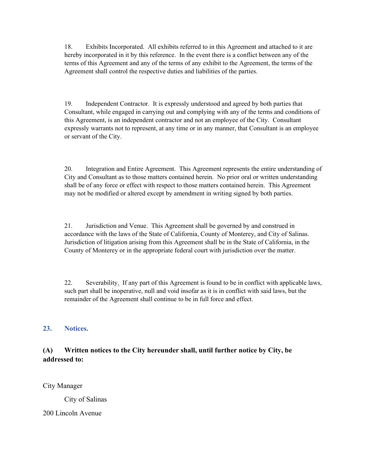18. Exhibits Incorporated. All exhibits referred to in this Agreement and attached to it are hereby incorporated in it by this reference. In the event there is a conflict between any of the terms of this Agreement and any of the terms of any exhibit to the Agreement, the terms of the Agreement shall control the respective duties and liabilities of the parties.

19. Independent Contractor. It is expressly understood and agreed by both parties that Consultant, while engaged in carrying out and complying with any of the terms and conditions of this Agreement, is an independent contractor and not an employee of the City. Consultant expressly warrants not to represent, at any time or in any manner, that Consultant is an employee or servant of the City.

20. Integration and Entire Agreement. This Agreement represents the entire understanding of City and Consultant as to those matters contained herein. No prior oral or written understanding shall be of any force or effect with respect to those matters contained herein. This Agreement may not be modified or altered except by amendment in writing signed by both parties.

21. Jurisdiction and Venue. This Agreement shall be governed by and construed in accordance with the laws of the State of California, County of Monterey, and City of Salinas. Jurisdiction of litigation arising from this Agreement shall be in the State of California, in the County of Monterey or in the appropriate federal court with jurisdiction over the matter.

22. Severability. If any part of this Agreement is found to be in conflict with applicable laws, such part shall be inoperative, null and void insofar as it is in conflict with said laws, but the remainder of the Agreement shall continue to be in full force and effect.

#### **23. Notices.**

#### **(A) Written notices to the City hereunder shall, until further notice by City, be addressed to:**

City Manager

City of Salinas

200 Lincoln Avenue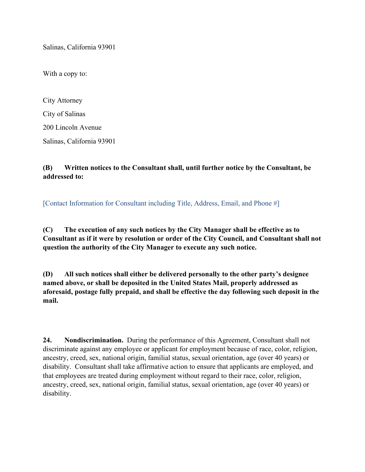Salinas, California 93901

With a copy to:

City Attorney City of Salinas 200 Lincoln Avenue Salinas, California 93901

#### **(B) Written notices to the Consultant shall, until further notice by the Consultant, be addressed to:**

[Contact Information for Consultant including Title, Address, Email, and Phone #]

**(C) The execution of any such notices by the City Manager shall be effective as to Consultant as if it were by resolution or order of the City Council, and Consultant shall not question the authority of the City Manager to execute any such notice.**

**(D) All such notices shall either be delivered personally to the other party's designee named above, or shall be deposited in the United States Mail, properly addressed as aforesaid, postage fully prepaid, and shall be effective the day following such deposit in the mail.**

**24. Nondiscrimination.** During the performance of this Agreement, Consultant shall not discriminate against any employee or applicant for employment because of race, color, religion, ancestry, creed, sex, national origin, familial status, sexual orientation, age (over 40 years) or disability. Consultant shall take affirmative action to ensure that applicants are employed, and that employees are treated during employment without regard to their race, color, religion, ancestry, creed, sex, national origin, familial status, sexual orientation, age (over 40 years) or disability.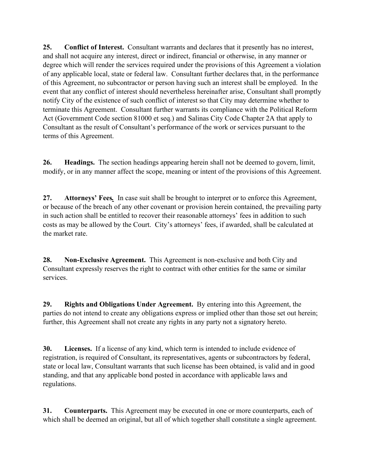**25. Conflict of Interest.** Consultant warrants and declares that it presently has no interest, and shall not acquire any interest, direct or indirect, financial or otherwise, in any manner or degree which will render the services required under the provisions of this Agreement a violation of any applicable local, state or federal law. Consultant further declares that, in the performance of this Agreement, no subcontractor or person having such an interest shall be employed. In the event that any conflict of interest should nevertheless hereinafter arise, Consultant shall promptly notify City of the existence of such conflict of interest so that City may determine whether to terminate this Agreement. Consultant further warrants its compliance with the Political Reform Act (Government Code section 81000 et seq.) and Salinas City Code Chapter 2A that apply to Consultant as the result of Consultant's performance of the work or services pursuant to the terms of this Agreement.

**26. Headings.** The section headings appearing herein shall not be deemed to govern, limit, modify, or in any manner affect the scope, meaning or intent of the provisions of this Agreement.

**27. Attorneys' Fees***.* In case suit shall be brought to interpret or to enforce this Agreement, or because of the breach of any other covenant or provision herein contained, the prevailing party in such action shall be entitled to recover their reasonable attorneys' fees in addition to such costs as may be allowed by the Court. City's attorneys' fees, if awarded, shall be calculated at the market rate.

**28. Non-Exclusive Agreement.** This Agreement is non-exclusive and both City and Consultant expressly reserves the right to contract with other entities for the same or similar services.

**29. Rights and Obligations Under Agreement.** By entering into this Agreement, the parties do not intend to create any obligations express or implied other than those set out herein; further, this Agreement shall not create any rights in any party not a signatory hereto.

**30. Licenses.** If a license of any kind, which term is intended to include evidence of registration, is required of Consultant, its representatives, agents or subcontractors by federal, state or local law, Consultant warrants that such license has been obtained, is valid and in good standing, and that any applicable bond posted in accordance with applicable laws and regulations.

**31. Counterparts.** This Agreement may be executed in one or more counterparts, each of which shall be deemed an original, but all of which together shall constitute a single agreement.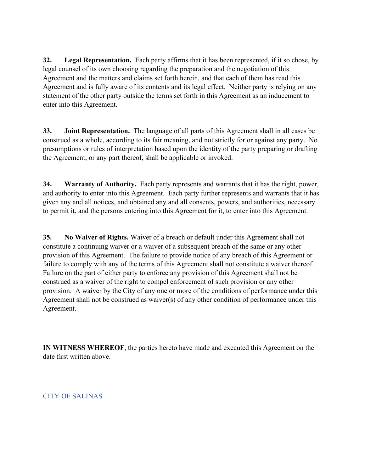**32. Legal Representation.** Each party affirms that it has been represented, if it so chose, by legal counsel of its own choosing regarding the preparation and the negotiation of this Agreement and the matters and claims set forth herein, and that each of them has read this Agreement and is fully aware of its contents and its legal effect. Neither party is relying on any statement of the other party outside the terms set forth in this Agreement as an inducement to enter into this Agreement.

**33. Joint Representation.** The language of all parts of this Agreement shall in all cases be construed as a whole, according to its fair meaning, and not strictly for or against any party. No presumptions or rules of interpretation based upon the identity of the party preparing or drafting the Agreement, or any part thereof, shall be applicable or invoked.

**34. Warranty of Authority.** Each party represents and warrants that it has the right, power, and authority to enter into this Agreement. Each party further represents and warrants that it has given any and all notices, and obtained any and all consents, powers, and authorities, necessary to permit it, and the persons entering into this Agreement for it, to enter into this Agreement.

**35. No Waiver of Rights.** Waiver of a breach or default under this Agreement shall not constitute a continuing waiver or a waiver of a subsequent breach of the same or any other provision of this Agreement. The failure to provide notice of any breach of this Agreement or failure to comply with any of the terms of this Agreement shall not constitute a waiver thereof. Failure on the part of either party to enforce any provision of this Agreement shall not be construed as a waiver of the right to compel enforcement of such provision or any other provision. A waiver by the City of any one or more of the conditions of performance under this Agreement shall not be construed as waiver(s) of any other condition of performance under this Agreement.

**IN WITNESS WHEREOF**, the parties hereto have made and executed this Agreement on the date first written above.

CITY OF SALINAS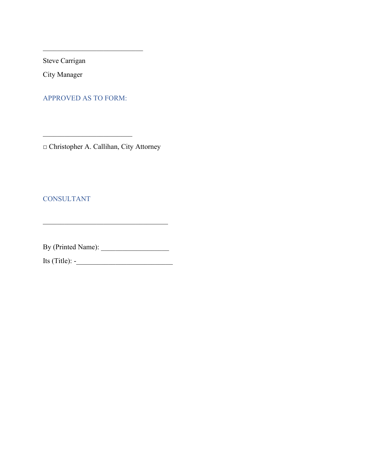Steve Carrigan

City Manager

APPROVED AS TO FORM:

 $\mathcal{L}_\mathcal{L}$  , which is a set of the set of the set of the set of the set of the set of the set of the set of the set of the set of the set of the set of the set of the set of the set of the set of the set of the set of

□ Christopher A. Callihan, City Attorney

 $\overline{\phantom{a}}$  , where  $\overline{\phantom{a}}$ 

CONSULTANT

By (Printed Name): \_\_\_\_\_\_\_\_\_\_\_\_\_\_\_\_\_\_\_

 $\overline{\phantom{a}}$  , where  $\overline{\phantom{a}}$  , where  $\overline{\phantom{a}}$  ,  $\overline{\phantom{a}}$  ,  $\overline{\phantom{a}}$  ,  $\overline{\phantom{a}}$  ,  $\overline{\phantom{a}}$  ,  $\overline{\phantom{a}}$  ,  $\overline{\phantom{a}}$  ,  $\overline{\phantom{a}}$  ,  $\overline{\phantom{a}}$  ,  $\overline{\phantom{a}}$  ,  $\overline{\phantom{a}}$  ,  $\overline{\phantom{a}}$  ,  $\overline{\phantom{a}}$  ,

Its (Title): -\_\_\_\_\_\_\_\_\_\_\_\_\_\_\_\_\_\_\_\_\_\_\_\_\_\_\_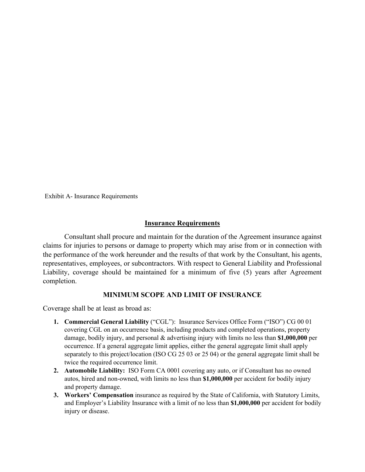Exhibit A- Insurance Requirements

#### **Insurance Requirements**

Consultant shall procure and maintain for the duration of the Agreement insurance against claims for injuries to persons or damage to property which may arise from or in connection with the performance of the work hereunder and the results of that work by the Consultant, his agents, representatives, employees, or subcontractors. With respect to General Liability and Professional Liability, coverage should be maintained for a minimum of five (5) years after Agreement completion.

#### **MINIMUM SCOPE AND LIMIT OF INSURANCE**

Coverage shall be at least as broad as:

- **1. Commercial General Liability** ("CGL"): Insurance Services Office Form ("ISO") CG 00 01 covering CGL on an occurrence basis, including products and completed operations, property damage, bodily injury, and personal & advertising injury with limits no less than **\$1,000,000** per occurrence. If a general aggregate limit applies, either the general aggregate limit shall apply separately to this project/location (ISO CG 25 03 or 25 04) or the general aggregate limit shall be twice the required occurrence limit.
- **2. Automobile Liability:** ISO Form CA 0001 covering any auto, or if Consultant has no owned autos, hired and non-owned, with limits no less than **\$1,000,000** per accident for bodily injury and property damage.
- **3. Workers' Compensation** insurance as required by the State of California, with Statutory Limits, and Employer's Liability Insurance with a limit of no less than **\$1,000,000** per accident for bodily injury or disease.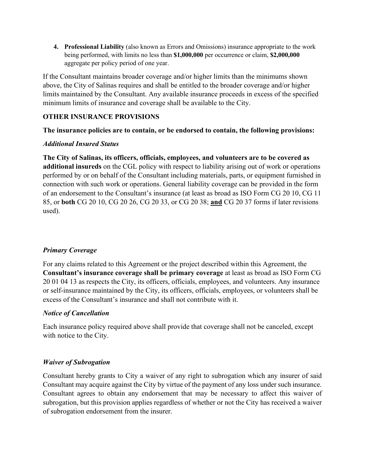**4. Professional Liability** (also known as Errors and Omissions) insurance appropriate to the work being performed, with limits no less than **\$1,000,000** per occurrence or claim, **\$2,000,000** aggregate per policy period of one year.

If the Consultant maintains broader coverage and/or higher limits than the minimums shown above, the City of Salinas requires and shall be entitled to the broader coverage and/or higher limits maintained by the Consultant. Any available insurance proceeds in excess of the specified minimum limits of insurance and coverage shall be available to the City.

#### **OTHER INSURANCE PROVISIONS**

#### **The insurance policies are to contain, or be endorsed to contain, the following provisions:**

#### *Additional Insured Status*

**The City of Salinas, its officers, officials, employees, and volunteers are to be covered as additional insureds** on the CGL policy with respect to liability arising out of work or operations performed by or on behalf of the Consultant including materials, parts, or equipment furnished in connection with such work or operations. General liability coverage can be provided in the form of an endorsement to the Consultant's insurance (at least as broad as ISO Form CG 20 10, CG 11 85, or **both** CG 20 10, CG 20 26, CG 20 33, or CG 20 38; **and** CG 20 37 forms if later revisions used).

#### *Primary Coverage*

For any claims related to this Agreement or the project described within this Agreement, the **Consultant's insurance coverage shall be primary coverage** at least as broad as ISO Form CG 20 01 04 13 as respects the City, its officers, officials, employees, and volunteers. Any insurance or self-insurance maintained by the City, its officers, officials, employees, or volunteers shall be excess of the Consultant's insurance and shall not contribute with it.

#### *Notice of Cancellation*

Each insurance policy required above shall provide that coverage shall not be canceled, except with notice to the City.

#### *Waiver of Subrogation*

Consultant hereby grants to City a waiver of any right to subrogation which any insurer of said Consultant may acquire against the City by virtue of the payment of any loss under such insurance. Consultant agrees to obtain any endorsement that may be necessary to affect this waiver of subrogation, but this provision applies regardless of whether or not the City has received a waiver of subrogation endorsement from the insurer.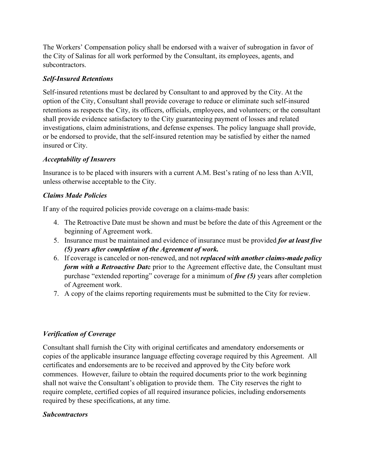The Workers' Compensation policy shall be endorsed with a waiver of subrogation in favor of the City of Salinas for all work performed by the Consultant, its employees, agents, and subcontractors.

#### *Self-Insured Retentions*

Self-insured retentions must be declared by Consultant to and approved by the City. At the option of the City, Consultant shall provide coverage to reduce or eliminate such self-insured retentions as respects the City, its officers, officials, employees, and volunteers; or the consultant shall provide evidence satisfactory to the City guaranteeing payment of losses and related investigations, claim administrations, and defense expenses. The policy language shall provide, or be endorsed to provide, that the self-insured retention may be satisfied by either the named insured or City.

#### *Acceptability of Insurers*

Insurance is to be placed with insurers with a current A.M. Best's rating of no less than A:VII, unless otherwise acceptable to the City.

#### *Claims Made Policies*

If any of the required policies provide coverage on a claims-made basis:

- 4. The Retroactive Date must be shown and must be before the date of this Agreement or the beginning of Agreement work.
- 5. Insurance must be maintained and evidence of insurance must be provided *for at least five (5) years after completion of the Agreement of work.*
- 6. If coverage is canceled or non-renewed, and not *replaced with another claims-made policy form with a Retroactive Dat*e prior to the Agreement effective date, the Consultant must purchase "extended reporting" coverage for a minimum of *five (5)* years after completion of Agreement work.
- 7. A copy of the claims reporting requirements must be submitted to the City for review.

#### *Verification of Coverage*

Consultant shall furnish the City with original certificates and amendatory endorsements or copies of the applicable insurance language effecting coverage required by this Agreement. All certificates and endorsements are to be received and approved by the City before work commences. However, failure to obtain the required documents prior to the work beginning shall not waive the Consultant's obligation to provide them. The City reserves the right to require complete, certified copies of all required insurance policies, including endorsements required by these specifications, at any time.

#### *Subcontractors*